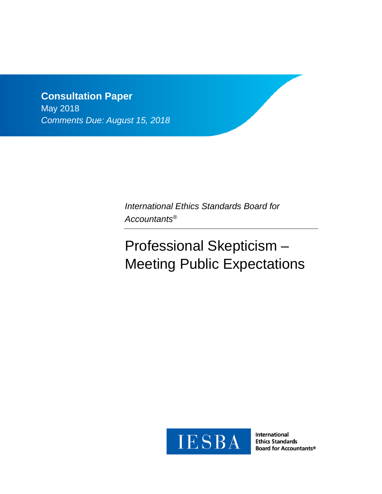# **Consultation Paper** May 2018 *Comments Due: August 15, 2018*

*International Ethics Standards Board for Accountants®*

# Professional Skepticism – Meeting Public Expectations



**International Ethics Standards Board for Accountants®**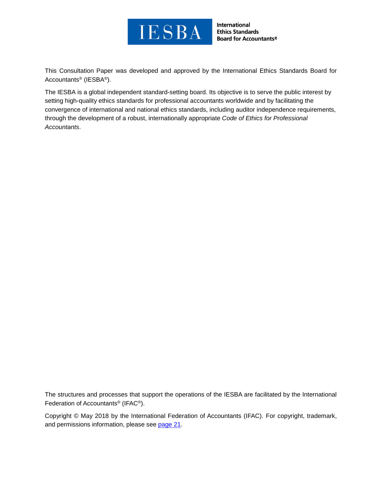

**International Ethics Standards Board for Accountants®** 

This Consultation Paper was developed and approved by the [International Ethics Standards Board for](http://www.ifac.org/ethics)  [Accountants®](http://www.ifac.org/ethics) (IESBA®).

The IESBA is a global independent standard-setting board. Its objective is to serve the public interest by setting high-quality ethics standards for professional accountants worldwide and by facilitating the convergence of international and national ethics standards, including auditor independence requirements, through the development of a robust, internationally appropriate *Code of Ethics for Professional Accountants*.

The structures and processes that support the operations of the IESBA are facilitated by the International Federation of Accountants® (IFAC®).

Copyright © May 2018 by the International Federation of Accountants (IFAC). For copyright, trademark, and permissions information, please see [page 21.](#page-20-0)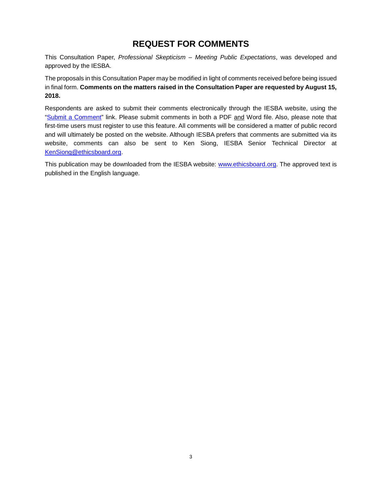# **REQUEST FOR COMMENTS**

This Consultation Paper, *Professional Skepticism – Meeting Public Expectations*, was developed and approved by the IESBA.

The proposals in this Consultation Paper may be modified in light of comments received before being issued in final form. **Comments on the matters raised in the Consultation Paper are requested by August 15, 2018.**

Respondents are asked to submit their comments electronically through the IESBA website, using the ["Submit a Comment"](http://www.ifac.org/publications-resources/global-ethics-board-consults-professional-skepticism) link. Please submit comments in both a PDF and Word file. Also, please note that first-time users must register to use this feature. All comments will be considered a matter of public record and will ultimately be posted on the website. Although IESBA prefers that comments are submitted via its website, comments can also be sent to Ken Siong, IESBA Senior Technical Director at [KenSiong@ethicsboard.org.](mailto:KenSiong@ethicsboard.org)

This publication may be downloaded from the IESBA website: [www.ethicsboard.org.](http://www.ethicsboard.org/) The approved text is published in the English language.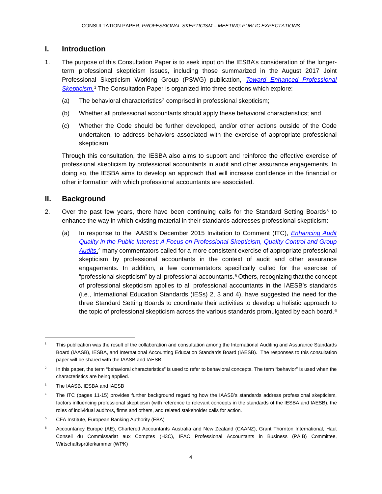# **I. Introduction**

- 1. The purpose of this Consultation Paper is to seek input on the IESBA's consideration of the longerterm professional skepticism issues, including those summarized in the August 2017 Joint Professional Skepticism Working Group (PSWG) publication, *[Toward Enhanced Professional](http://www.ifac.org/publications-resources/toward-enhanced-professional-skepticism)  [Skepticism.](http://www.ifac.org/publications-resources/toward-enhanced-professional-skepticism)*[1](#page-3-0) The Consultation Paper is organized into three sections which explore:
	- (a) The behavioral characteristics<sup>[2](#page-3-1)</sup> comprised in professional skepticism;
	- (b) Whether all professional accountants should apply these behavioral characteristics; and
	- (c) Whether the Code should be further developed, and/or other actions outside of the Code undertaken, to address behaviors associated with the exercise of appropriate professional skepticism.

Through this consultation, the IESBA also aims to support and reinforce the effective exercise of professional skepticism by professional accountants in audit and other assurance engagements. In doing so, the IESBA aims to develop an approach that will increase confidence in the financial or other information with which professional accountants are associated.

# **II. Background**

- 2. Over the past few years, there have been continuing calls for the Standard Setting Boards<sup>[3](#page-3-2)</sup> to enhance the way in which existing material in their standards addresses professional skepticism:
	- (a) In response to the IAASB's December 2015 Invitation to Comment (ITC), *[Enhancing Audit](https://www.ifac.org/publications-resources/invitation-comment-enhancing-audit-quality-public-interest)  Quality in the Public Interest: A Focus [on Professional Skepticism, Quality Control and Group](https://www.ifac.org/publications-resources/invitation-comment-enhancing-audit-quality-public-interest)  [Audits](https://www.ifac.org/publications-resources/invitation-comment-enhancing-audit-quality-public-interest)*,[4](#page-3-3) many commentators called for a more consistent exercise of appropriate professional skepticism by professional accountants in the context of audit and other assurance engagements. In addition, a few commentators specifically called for the exercise of "professional skepticism" by all professional accountants.[5](#page-3-4) Others, recognizing that the concept of professional skepticism applies to all professional accountants in the IAESB's standards (i.e., International Education Standards (IESs) 2, 3 and 4), have suggested the need for the three Standard Setting Boards to coordinate their activities to develop a holistic approach to the topic of professional skepticism across the various standards promulgated by each board. $6$

<span id="page-3-0"></span><sup>1</sup> This publication was the result of the collaboration and consultation among the International Auditing and Assurance Standards Board (IAASB), IESBA, and International Accounting Education Standards Board (IAESB). The responses to this consultation paper will be shared with the IAASB and IAESB.

<span id="page-3-1"></span> $2$  In this paper, the term "behavioral characteristics" is used to refer to behavioral concepts. The term "behavior" is used when the characteristics are being applied.

<span id="page-3-2"></span>The IAASB, IESBA and IAESB

<span id="page-3-3"></span>The ITC (pages 11-15) provides further background regarding how the IAASB's standards address professional skepticism, factors influencing professional skepticism (with reference to relevant concepts in the standards of the IESBA and IAESB), the roles of individual auditors, firms and others, and related stakeholder calls for action.

<span id="page-3-4"></span><sup>5</sup> CFA Institute, European Banking Authority (EBA)

<span id="page-3-5"></span><sup>6</sup> Accountancy Europe (AE), Chartered Accountants Australia and New Zealand (CAANZ), Grant Thornton International, Haut Conseil du Commissariat aux Comptes (H3C), IFAC Professional Accountants in Business (PAIB) Committee, Wirtschaftsprüferkammer (WPK)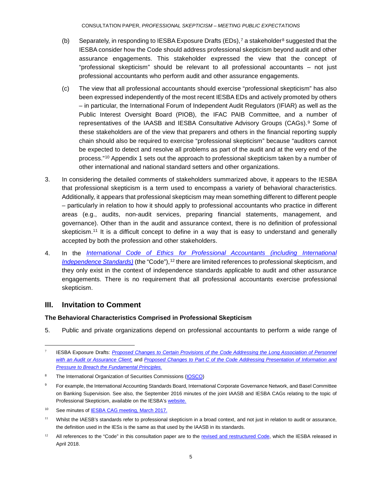- (b) Separately, in responding to IESBA Exposure Drafts (EDs),<sup>[7](#page-4-0)</sup> a stakeholder<sup>[8](#page-4-1)</sup> suggested that the IESBA consider how the Code should address professional skepticism beyond audit and other assurance engagements. This stakeholder expressed the view that the concept of "professional skepticism" should be relevant to all professional accountants – not just professional accountants who perform audit and other assurance engagements.
- (c) The view that all professional accountants should exercise "professional skepticism" has also been expressed independently of the most recent IESBA EDs and actively promoted by others – in particular, the International Forum of Independent Audit Regulators (IFIAR) as well as the Public Interest Oversight Board (PIOB), the IFAC PAIB Committee, and a number of representatives of the IAASB and IESBA Consultative Advisory Groups (CAGs).[9](#page-4-2) Some of these stakeholders are of the view that preparers and others in the financial reporting supply chain should also be required to exercise "professional skepticism" because "auditors cannot be expected to detect and resolve all problems as part of the audit and at the very end of the process."[10](#page-4-3) Appendix 1 sets out the approach to professional skepticism taken by a number of other international and national standard setters and other organizations.
- 3. In considering the detailed comments of stakeholders summarized above, it appears to the IESBA that professional skepticism is a term used to encompass a variety of behavioral characteristics. Additionally, it appears that professional skepticism may mean something different to different people – particularly in relation to how it should apply to professional accountants who practice in different areas (e.g., audits, non-audit services, preparing financial statements, management, and governance). Other than in the audit and assurance context, there is no definition of professional skepticism.<sup>[11](#page-4-4)</sup> It is a difficult concept to define in a way that is easy to understand and generally accepted by both the profession and other stakeholders.
- 4. In the *[International Code of Ethics for Professional Accountants \(including International](http://www.ifac.org/system/files/publications/files/Final-Pronouncement-The-Restructured-Code_0.pdf)  Independence Standards*) (the "Code"), <sup>[12](#page-4-5)</sup> there are limited references to professional skepticism, and they only exist in the context of independence standards applicable to audit and other assurance engagements. There is no requirement that all professional accountants exercise professional skepticism.

# **III. Invitation to Comment**

 $\overline{a}$ 

## **The Behavioral Characteristics Comprised in Professional Skepticism**

5. Public and private organizations depend on professional accountants to perform a wide range of

<span id="page-4-0"></span><sup>7</sup> IESBA Exposure Drafts: *[Proposed Changes to Certain Provisions of the Code Addressing the Long Association of Personnel](https://www.ifac.org/publications-resources/proposed-changes-certain-provisions-code-addressing-long-association-personne)  [with an Audit or Assurance Client](https://www.ifac.org/publications-resources/proposed-changes-certain-provisions-code-addressing-long-association-personne)*; and *[Proposed Changes to Part C of the Code Addressing Presentation of Information and](https://www.ifac.org/publications-resources/proposed-changes-part-c-code-addressing-presentation-information-and-pressure)  [Pressure to Breach the Fundamental Principles.](https://www.ifac.org/publications-resources/proposed-changes-part-c-code-addressing-presentation-information-and-pressure)*

<span id="page-4-1"></span><sup>&</sup>lt;sup>8</sup> The International Organization of Securities Commissions [\(IOSCO\)](http://www.ifac.org/system/files/publications/exposure-drafts/comments/41.IOSCO.pdf)

<span id="page-4-2"></span><sup>&</sup>lt;sup>9</sup> For example, the International Accounting Standards Board, International Corporate Governance Network, and Basel Committee on Banking Supervision. See also, the September 2016 minutes of the joint IAASB and IESBA CAGs relating to the topic of Professional Skepticism, available on the IESBA's website.

<span id="page-4-3"></span><sup>&</sup>lt;sup>10</sup> See minutes o[f IESBA CAG meeting, March 2017.](http://www.ethicsboard.org/system/files/meetings/files/Agenda-Item-A-Draft-March-2017-IESBA-CAG-Minutes.pdf)

<span id="page-4-4"></span><sup>&</sup>lt;sup>11</sup> Whilst the IAESB's standards refer to professional skepticism in a broad context, and not just in relation to audit or assurance, the definition used in the IESs is the same as that used by the IAASB in its standards.

<span id="page-4-5"></span><sup>&</sup>lt;sup>12</sup> All references to the "Code" in this consultation paper are to the [revised and restructured Code,](http://www.ifac.org/system/files/publications/files/Final-Pronouncement-The-Restructured-Code_0.pdf) which the IESBA released in April 2018.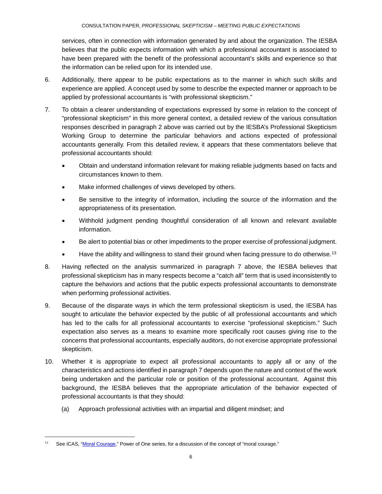services, often in connection with information generated by and about the organization. The IESBA believes that the public expects information with which a professional accountant is associated to have been prepared with the benefit of the professional accountant's skills and experience so that the information can be relied upon for its intended use.

- 6. Additionally, there appear to be public expectations as to the manner in which such skills and experience are applied. A concept used by some to describe the expected manner or approach to be applied by professional accountants is "with professional skepticism."
- 7. To obtain a clearer understanding of expectations expressed by some in relation to the concept of "professional skepticism" in this more general context, a detailed review of the various consultation responses described in paragraph 2 above was carried out by the IESBA's Professional Skepticism Working Group to determine the particular behaviors and actions expected of professional accountants generally. From this detailed review, it appears that these commentators believe that professional accountants should:
	- Obtain and understand information relevant for making reliable judgments based on facts and circumstances known to them.
	- Make informed challenges of views developed by others.
	- Be sensitive to the integrity of information, including the source of the information and the appropriateness of its presentation.
	- Withhold judgment pending thoughtful consideration of all known and relevant available information.
	- Be alert to potential bias or other impediments to the proper exercise of professional judgment.
	- Have the ability and willingness to stand their ground when facing pressure to do otherwise.<sup>[13](#page-5-0)</sup>
- 8. Having reflected on the analysis summarized in paragraph 7 above, the IESBA believes that professional skepticism has in many respects become a "catch all" term that is used inconsistently to capture the behaviors and actions that the public expects professional accountants to demonstrate when performing professional activities.
- 9. Because of the disparate ways in which the term professional skepticism is used, the IESBA has sought to articulate the behavior expected by the public of all professional accountants and which has led to the calls for all professional accountants to exercise "professional skepticism." Such expectation also serves as a means to examine more specifically root causes giving rise to the concerns that professional accountants, especially auditors, do not exercise appropriate professional skepticism.
- 10. Whether it is appropriate to expect all professional accountants to apply all or any of the characteristics and actions identified in paragraph 7 depends upon the nature and context of the work being undertaken and the particular role or position of the professional accountant. Against this background, the IESBA believes that the appropriate articulation of the behavior expected of professional accountants is that they should:
	- (a) Approach professional activities with an impartial and diligent mindset; and

<span id="page-5-0"></span><sup>&</sup>lt;sup>13</sup> See ICAS, ["Moral Courage,](https://www.icas.com/ethics/moral-courage)" Power of One series, for a discussion of the concept of "moral courage."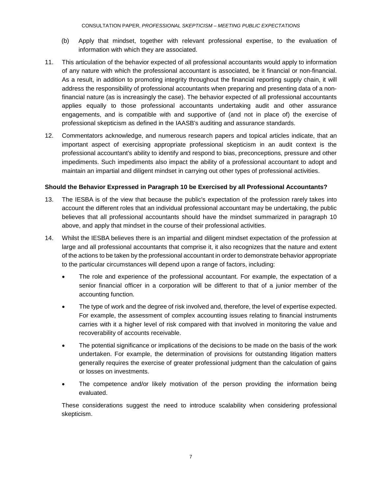- (b) Apply that mindset, together with relevant professional expertise, to the evaluation of information with which they are associated.
- 11. This articulation of the behavior expected of all professional accountants would apply to information of any nature with which the professional accountant is associated, be it financial or non-financial. As a result, in addition to promoting integrity throughout the financial reporting supply chain, it will address the responsibility of professional accountants when preparing and presenting data of a nonfinancial nature (as is increasingly the case). The behavior expected of all professional accountants applies equally to those professional accountants undertaking audit and other assurance engagements, and is compatible with and supportive of (and not in place of) the exercise of professional skepticism as defined in the IAASB's auditing and assurance standards.
- 12. Commentators acknowledge, and numerous research papers and topical articles indicate, that an important aspect of exercising appropriate professional skepticism in an audit context is the professional accountant's ability to identify and respond to bias, preconceptions, pressure and other impediments. Such impediments also impact the ability of a professional accountant to adopt and maintain an impartial and diligent mindset in carrying out other types of professional activities.

#### **Should the Behavior Expressed in Paragraph 10 be Exercised by all Professional Accountants?**

- 13. The IESBA is of the view that because the public's expectation of the profession rarely takes into account the different roles that an individual professional accountant may be undertaking, the public believes that all professional accountants should have the mindset summarized in paragraph 10 above, and apply that mindset in the course of their professional activities.
- 14. Whilst the IESBA believes there is an impartial and diligent mindset expectation of the profession at large and all professional accountants that comprise it, it also recognizes that the nature and extent of the actions to be taken by the professional accountant in order to demonstrate behavior appropriate to the particular circumstances will depend upon a range of factors, including:
	- The role and experience of the professional accountant. For example, the expectation of a senior financial officer in a corporation will be different to that of a junior member of the accounting function.
	- The type of work and the degree of risk involved and, therefore, the level of expertise expected. For example, the assessment of complex accounting issues relating to financial instruments carries with it a higher level of risk compared with that involved in monitoring the value and recoverability of accounts receivable.
	- The potential significance or implications of the decisions to be made on the basis of the work undertaken. For example, the determination of provisions for outstanding litigation matters generally requires the exercise of greater professional judgment than the calculation of gains or losses on investments.
	- The competence and/or likely motivation of the person providing the information being evaluated.

These considerations suggest the need to introduce scalability when considering professional skepticism.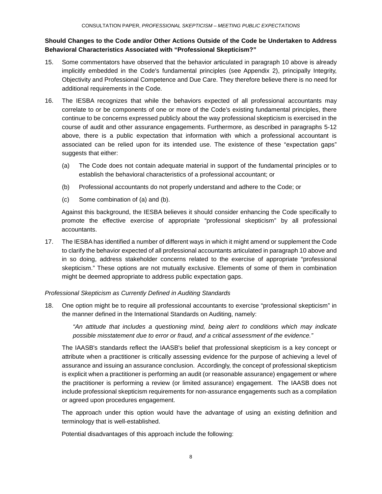# **Should Changes to the Code and/or Other Actions Outside of the Code be Undertaken to Address Behavioral Characteristics Associated with "Professional Skepticism?"**

- 15. Some commentators have observed that the behavior articulated in paragraph 10 above is already implicitly embedded in the Code's fundamental principles (see Appendix 2), principally Integrity, Objectivity and Professional Competence and Due Care. They therefore believe there is no need for additional requirements in the Code.
- 16. The IESBA recognizes that while the behaviors expected of all professional accountants may correlate to or be components of one or more of the Code's existing fundamental principles, there continue to be concerns expressed publicly about the way professional skepticism is exercised in the course of audit and other assurance engagements. Furthermore, as described in paragraphs 5-12 above, there is a public expectation that information with which a professional accountant is associated can be relied upon for its intended use. The existence of these "expectation gaps" suggests that either:
	- (a) The Code does not contain adequate material in support of the fundamental principles or to establish the behavioral characteristics of a professional accountant; or
	- (b) Professional accountants do not properly understand and adhere to the Code; or
	- (c) Some combination of (a) and (b).

Against this background, the IESBA believes it should consider enhancing the Code specifically to promote the effective exercise of appropriate "professional skepticism" by all professional accountants.

17. The IESBA has identified a number of different ways in which it might amend or supplement the Code to clarify the behavior expected of all professional accountants articulated in paragraph 10 above and in so doing, address stakeholder concerns related to the exercise of appropriate "professional skepticism." These options are not mutually exclusive. Elements of some of them in combination might be deemed appropriate to address public expectation gaps.

#### *Professional Skepticism as Currently Defined in Auditing Standards*

18. One option might be to require all professional accountants to exercise "professional skepticism" in the manner defined in the International Standards on Auditing, namely:

*"An attitude that includes a questioning mind, being alert to conditions which may indicate possible misstatement due to error or fraud, and a critical assessment of the evidence."*

The IAASB's standards reflect the IAASB's belief that professional skepticism is a key concept or attribute when a practitioner is critically assessing evidence for the purpose of achieving a level of assurance and issuing an assurance conclusion. Accordingly, the concept of professional skepticism is explicit when a practitioner is performing an audit (or reasonable assurance) engagement or where the practitioner is performing a review (or limited assurance) engagement. The IAASB does not include professional skepticism requirements for non-assurance engagements such as a compilation or agreed upon procedures engagement.

The approach under this option would have the advantage of using an existing definition and terminology that is well-established.

Potential disadvantages of this approach include the following: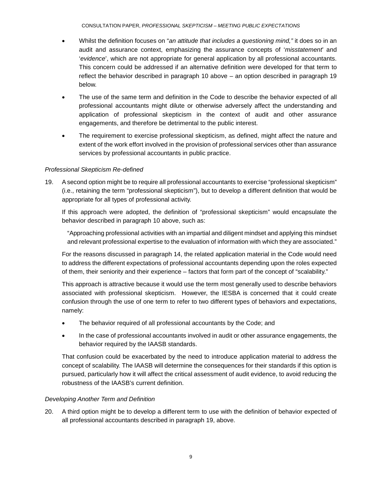CONSULTATION PAPER, *PROFESSIONAL SKEPTICISM – MEETING PUBLIC EXPECTATIONS*

- Whilst the definition focuses on "*an attitude that includes a questioning mind,"* it does so in an audit and assurance context, emphasizing the assurance concepts of '*misstatement*' and '*evidence*', which are not appropriate for general application by all professional accountants. This concern could be addressed if an alternative definition were developed for that term to reflect the behavior described in paragraph 10 above – an option described in paragraph 19 below.
- The use of the same term and definition in the Code to describe the behavior expected of all professional accountants might dilute or otherwise adversely affect the understanding and application of professional skepticism in the context of audit and other assurance engagements, and therefore be detrimental to the public interest.
- The requirement to exercise professional skepticism, as defined, might affect the nature and extent of the work effort involved in the provision of professional services other than assurance services by professional accountants in public practice.

## *Professional Skepticism Re-defined*

19. A second option might be to require all professional accountants to exercise "professional skepticism" (i.e., retaining the term "professional skepticism"), but to develop a different definition that would be appropriate for all types of professional activity.

If this approach were adopted, the definition of "professional skepticism" would encapsulate the behavior described in paragraph 10 above, such as:

"Approaching professional activities with an impartial and diligent mindset and applying this mindset and relevant professional expertise to the evaluation of information with which they are associated."

For the reasons discussed in paragraph 14, the related application material in the Code would need to address the different expectations of professional accountants depending upon the roles expected of them, their seniority and their experience – factors that form part of the concept of "scalability."

This approach is attractive because it would use the term most generally used to describe behaviors associated with professional skepticism. However, the IESBA is concerned that it could create confusion through the use of one term to refer to two different types of behaviors and expectations, namely:

- The behavior required of all professional accountants by the Code; and
- In the case of professional accountants involved in audit or other assurance engagements, the behavior required by the IAASB standards.

That confusion could be exacerbated by the need to introduce application material to address the concept of scalability. The IAASB will determine the consequences for their standards if this option is pursued, particularly how it will affect the critical assessment of audit evidence, to avoid reducing the robustness of the IAASB's current definition.

## *Developing Another Term and Definition*

20. A third option might be to develop a different term to use with the definition of behavior expected of all professional accountants described in paragraph 19, above.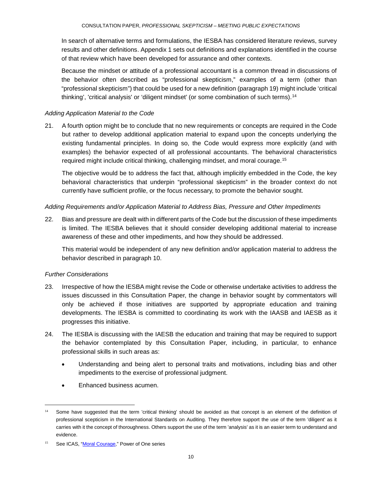In search of alternative terms and formulations, the IESBA has considered literature reviews, survey results and other definitions. Appendix 1 sets out definitions and explanations identified in the course of that review which have been developed for assurance and other contexts.

Because the mindset or attitude of a professional accountant is a common thread in discussions of the behavior often described as "professional skepticism," examples of a term (other than "professional skepticism") that could be used for a new definition (paragraph 19) might include 'critical thinking', 'critical analysis' or 'diligent mindset' (or some combination of such terms).[14](#page-9-0)

#### *Adding Application Material to the Code*

21. A fourth option might be to conclude that no new requirements or concepts are required in the Code but rather to develop additional application material to expand upon the concepts underlying the existing fundamental principles. In doing so, the Code would express more explicitly (and with examples) the behavior expected of all professional accountants. The behavioral characteristics required might include critical thinking, challenging mindset, and moral courage.[15](#page-9-1)

The objective would be to address the fact that, although implicitly embedded in the Code, the key behavioral characteristics that underpin "professional skepticism" in the broader context do not currently have sufficient profile, or the focus necessary, to promote the behavior sought.

#### *Adding Requirements and/or Application Material to Address Bias, Pressure and Other Impediments*

22. Bias and pressure are dealt with in different parts of the Code but the discussion of these impediments is limited. The IESBA believes that it should consider developing additional material to increase awareness of these and other impediments, and how they should be addressed.

This material would be independent of any new definition and/or application material to address the behavior described in paragraph 10.

#### *Further Considerations*

- 23. Irrespective of how the IESBA might revise the Code or otherwise undertake activities to address the issues discussed in this Consultation Paper, the change in behavior sought by commentators will only be achieved if those initiatives are supported by appropriate education and training developments. The IESBA is committed to coordinating its work with the IAASB and IAESB as it progresses this initiative.
- 24. The IESBA is discussing with the IAESB the education and training that may be required to support the behavior contemplated by this Consultation Paper, including, in particular, to enhance professional skills in such areas as:
	- Understanding and being alert to personal traits and motivations, including bias and other impediments to the exercise of professional judgment.
	- Enhanced business acumen.

<span id="page-9-0"></span><sup>&</sup>lt;sup>14</sup> Some have suggested that the term 'critical thinking' should be avoided as that concept is an element of the definition of professional scepticism in the International Standards on Auditing. They therefore support the use of the term 'diligent' as it carries with it the concept of thoroughness. Others support the use of the term 'analysis' as it is an easier term to understand and evidence.

<span id="page-9-1"></span>See ICAS, ["Moral Courage,](https://www.icas.com/ethics/moral-courage)" Power of One series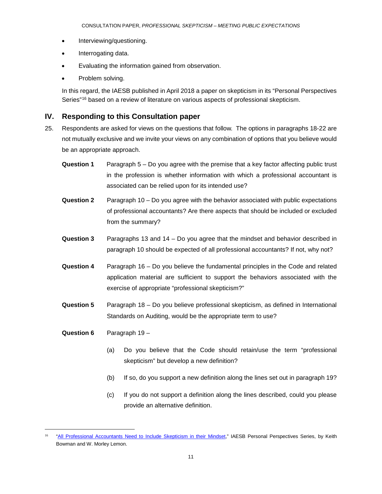- Interviewing/questioning.
- Interrogating data.
- Evaluating the information gained from observation.
- Problem solving.

In this regard, the IAESB published in April 2018 a paper on skepticism in its "Personal Perspectives Series"<sup>[16](#page-10-0)</sup> based on a review of literature on various aspects of professional skepticism.

# **IV. Responding to this Consultation paper**

- 25. Respondents are asked for views on the questions that follow. The options in paragraphs 18-22 are not mutually exclusive and we invite your views on any combination of options that you believe would be an appropriate approach.
	- **Question 1** Paragraph 5 Do you agree with the premise that a key factor affecting public trust in the profession is whether information with which a professional accountant is associated can be relied upon for its intended use?
	- **Question 2** Paragraph 10 Do you agree with the behavior associated with public expectations of professional accountants? Are there aspects that should be included or excluded from the summary?
	- **Question 3** Paragraphs 13 and 14 Do you agree that the mindset and behavior described in paragraph 10 should be expected of all professional accountants? If not, why not?
	- **Question 4** Paragraph 16 Do you believe the fundamental principles in the Code and related application material are sufficient to support the behaviors associated with the exercise of appropriate "professional skepticism?"
	- **Question 5** Paragraph 18 Do you believe professional skepticism, as defined in International Standards on Auditing, would be the appropriate term to use?
	- **Question 6** Paragraph 19 –

- (a) Do you believe that the Code should retain/use the term "professional skepticism" but develop a new definition?
- (b) If so, do you support a new definition along the lines set out in paragraph 19?
- (c) If you do not support a definition along the lines described, could you please provide an alternative definition.

<span id="page-10-0"></span><sup>&</sup>lt;sup>16</sup> ["All Professional Accountants Need to Include Skepticism in their Mindset,"](http://www.ifac.org/publications-resources/personal-perspectives-keith-bowman-and-w-morley-lemon) IAESB Personal Perspectives Series, by Keith Bowman and W. Morley Lemon.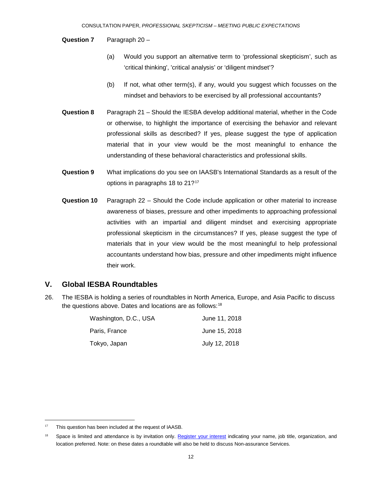#### **Question 7** Paragraph 20 –

- (a) Would you support an alternative term to 'professional skepticism', such as 'critical thinking', 'critical analysis' or 'diligent mindset'?
- (b) If not, what other term(s), if any, would you suggest which focusses on the mindset and behaviors to be exercised by all professional accountants?
- **Question 8** Paragraph 21 Should the IESBA develop additional material, whether in the Code or otherwise, to highlight the importance of exercising the behavior and relevant professional skills as described? If yes, please suggest the type of application material that in your view would be the most meaningful to enhance the understanding of these behavioral characteristics and professional skills.
- **Question 9** What implications do you see on IAASB's International Standards as a result of the options in paragraphs 18 to 21?<sup>[17](#page-11-0)</sup>
- **Question 10** Paragraph 22 Should the Code include application or other material to increase awareness of biases, pressure and other impediments to approaching professional activities with an impartial and diligent mindset and exercising appropriate professional skepticism in the circumstances? If yes, please suggest the type of materials that in your view would be the most meaningful to help professional accountants understand how bias, pressure and other impediments might influence their work.

#### **V. Global IESBA Roundtables**

26. The IESBA is holding a series of roundtables in North America, Europe, and Asia Pacific to discuss the questions above. Dates and locations are as follows:<sup>[18](#page-11-1)</sup>

| Washington, D.C., USA | June 11, 2018 |
|-----------------------|---------------|
| Paris, France         | June 15, 2018 |
| Tokvo, Japan          | July 12, 2018 |

<span id="page-11-0"></span><sup>&</sup>lt;sup>17</sup> This question has been included at the request of IAASB.

<span id="page-11-1"></span><sup>&</sup>lt;sup>18</sup> Space is limited and attendance is by invitation only. [Register your interest](mailto:IESBA@ethicsboard.org) indicating your name, job title, organization, and location preferred. Note: on these dates a roundtable will also be held to discuss Non-assurance Services.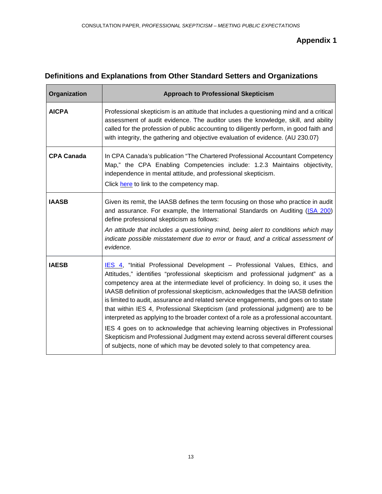# **Appendix 1**

# **Definitions and Explanations from Other Standard Setters and Organizations**

| Organization      | <b>Approach to Professional Skepticism</b>                                                                                                                                                                                                                                                                                                                                                                                                                                                                                                                                                                                                                                                                                                                                                                                                                            |
|-------------------|-----------------------------------------------------------------------------------------------------------------------------------------------------------------------------------------------------------------------------------------------------------------------------------------------------------------------------------------------------------------------------------------------------------------------------------------------------------------------------------------------------------------------------------------------------------------------------------------------------------------------------------------------------------------------------------------------------------------------------------------------------------------------------------------------------------------------------------------------------------------------|
| <b>AICPA</b>      | Professional skepticism is an attitude that includes a questioning mind and a critical<br>assessment of audit evidence. The auditor uses the knowledge, skill, and ability<br>called for the profession of public accounting to diligently perform, in good faith and<br>with integrity, the gathering and objective evaluation of evidence. (AU 230.07)                                                                                                                                                                                                                                                                                                                                                                                                                                                                                                              |
| <b>CPA Canada</b> | In CPA Canada's publication "The Chartered Professional Accountant Competency<br>Map," the CPA Enabling Competencies include: 1.2.3 Maintains objectivity,<br>independence in mental attitude, and professional skepticism.<br>Click here to link to the competency map.                                                                                                                                                                                                                                                                                                                                                                                                                                                                                                                                                                                              |
| <b>IAASB</b>      | Given its remit, the IAASB defines the term focusing on those who practice in audit<br>and assurance. For example, the International Standards on Auditing (ISA 200)<br>define professional skepticism as follows:<br>An attitude that includes a questioning mind, being alert to conditions which may<br>indicate possible misstatement due to error or fraud, and a critical assessment of<br>evidence.                                                                                                                                                                                                                                                                                                                                                                                                                                                            |
| <b>IAESB</b>      | IES 4, "Initial Professional Development - Professional Values, Ethics, and<br>Attitudes," identifies "professional skepticism and professional judgment" as a<br>competency area at the intermediate level of proficiency. In doing so, it uses the<br>IAASB definition of professional skepticism, acknowledges that the IAASB definition<br>is limited to audit, assurance and related service engagements, and goes on to state<br>that within IES 4, Professional Skepticism (and professional judgment) are to be<br>interpreted as applying to the broader context of a role as a professional accountant.<br>IES 4 goes on to acknowledge that achieving learning objectives in Professional<br>Skepticism and Professional Judgment may extend across several different courses<br>of subjects, none of which may be devoted solely to that competency area. |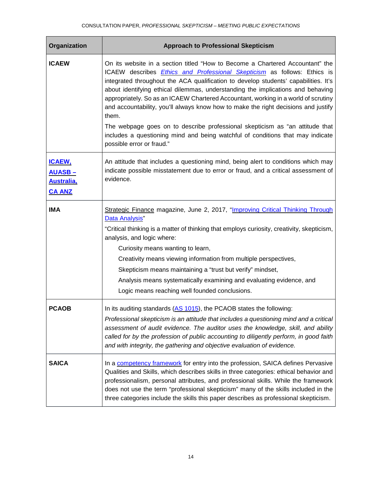| Organization                                                            | <b>Approach to Professional Skepticism</b>                                                                                                                                                                                                                                                                                                                                                                                                                                                                                                                                                                                                                                                                                     |
|-------------------------------------------------------------------------|--------------------------------------------------------------------------------------------------------------------------------------------------------------------------------------------------------------------------------------------------------------------------------------------------------------------------------------------------------------------------------------------------------------------------------------------------------------------------------------------------------------------------------------------------------------------------------------------------------------------------------------------------------------------------------------------------------------------------------|
| <b>ICAEW</b>                                                            | On its website in a section titled "How to Become a Chartered Accountant" the<br>ICAEW describes <i>Ethics and Professional Skepticism</i> as follows: Ethics is<br>integrated throughout the ACA qualification to develop students' capabilities. It's<br>about identifying ethical dilemmas, understanding the implications and behaving<br>appropriately. So as an ICAEW Chartered Accountant, working in a world of scrutiny<br>and accountability, you'll always know how to make the right decisions and justify<br>them.<br>The webpage goes on to describe professional skepticism as "an attitude that<br>includes a questioning mind and being watchful of conditions that may indicate<br>possible error or fraud." |
| <u>ICAEW,</u><br><u> AUASB – </u><br><b>Australia,</b><br><b>CA ANZ</b> | An attitude that includes a questioning mind, being alert to conditions which may<br>indicate possible misstatement due to error or fraud, and a critical assessment of<br>evidence.                                                                                                                                                                                                                                                                                                                                                                                                                                                                                                                                           |
| <b>IMA</b>                                                              | Strategic Finance magazine, June 2, 2017, "Improving Critical Thinking Through<br>Data Analysis"<br>"Critical thinking is a matter of thinking that employs curiosity, creativity, skepticism,<br>analysis, and logic where:<br>Curiosity means wanting to learn,<br>Creativity means viewing information from multiple perspectives,<br>Skepticism means maintaining a "trust but verify" mindset,<br>Analysis means systematically examining and evaluating evidence, and<br>Logic means reaching well founded conclusions.                                                                                                                                                                                                  |
| <b>PCAOB</b>                                                            | In its auditing standards (AS 1015), the PCAOB states the following:<br>Professional skepticism is an attitude that includes a questioning mind and a critical<br>assessment of audit evidence. The auditor uses the knowledge, skill, and ability<br>called for by the profession of public accounting to diligently perform, in good faith<br>and with integrity, the gathering and objective evaluation of evidence.                                                                                                                                                                                                                                                                                                        |
| <b>SAICA</b>                                                            | In a competency framework for entry into the profession, SAICA defines Pervasive<br>Qualities and Skills, which describes skills in three categories: ethical behavior and<br>professionalism, personal attributes, and professional skills. While the framework<br>does not use the term "professional skepticism" many of the skills included in the<br>three categories include the skills this paper describes as professional skepticism.                                                                                                                                                                                                                                                                                 |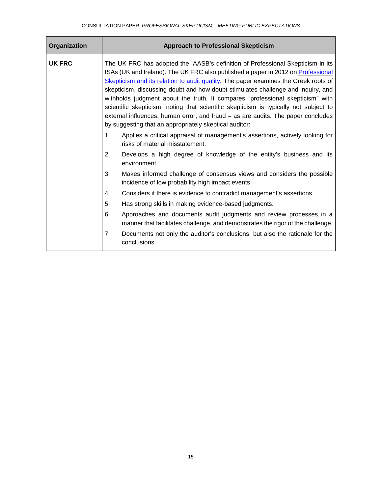| Organization  | <b>Approach to Professional Skepticism</b>                                                                                                                                                                                                                                                                                                                                                                                                                                                                                                                                                                                                                                                                                                                      |
|---------------|-----------------------------------------------------------------------------------------------------------------------------------------------------------------------------------------------------------------------------------------------------------------------------------------------------------------------------------------------------------------------------------------------------------------------------------------------------------------------------------------------------------------------------------------------------------------------------------------------------------------------------------------------------------------------------------------------------------------------------------------------------------------|
| <b>UK FRC</b> | The UK FRC has adopted the IAASB's definition of Professional Skepticism in its<br>ISAs (UK and Ireland). The UK FRC also published a paper in 2012 on Professional<br>Skepticism and its relation to audit quality. The paper examines the Greek roots of<br>skepticism, discussing doubt and how doubt stimulates challenge and inquiry, and<br>withholds judgment about the truth. It compares "professional skepticism" with<br>scientific skepticism, noting that scientific skepticism is typically not subject to<br>external influences, human error, and fraud $-$ as are audits. The paper concludes<br>by suggesting that an appropriately skeptical auditor:<br>Applies a critical appraisal of management's assertions, actively looking for<br>1. |
|               | risks of material misstatement.                                                                                                                                                                                                                                                                                                                                                                                                                                                                                                                                                                                                                                                                                                                                 |
|               | 2.<br>Develops a high degree of knowledge of the entity's business and its<br>environment.                                                                                                                                                                                                                                                                                                                                                                                                                                                                                                                                                                                                                                                                      |
|               | 3.<br>Makes informed challenge of consensus views and considers the possible<br>incidence of low probability high impact events.                                                                                                                                                                                                                                                                                                                                                                                                                                                                                                                                                                                                                                |
|               | Considers if there is evidence to contradict management's assertions.<br>4.                                                                                                                                                                                                                                                                                                                                                                                                                                                                                                                                                                                                                                                                                     |
|               | 5.<br>Has strong skills in making evidence-based judgments.                                                                                                                                                                                                                                                                                                                                                                                                                                                                                                                                                                                                                                                                                                     |
|               | 6.<br>Approaches and documents audit judgments and review processes in a<br>manner that facilitates challenge, and demonstrates the rigor of the challenge.                                                                                                                                                                                                                                                                                                                                                                                                                                                                                                                                                                                                     |
|               | Documents not only the auditor's conclusions, but also the rationale for the<br>7 <sub>1</sub><br>conclusions.                                                                                                                                                                                                                                                                                                                                                                                                                                                                                                                                                                                                                                                  |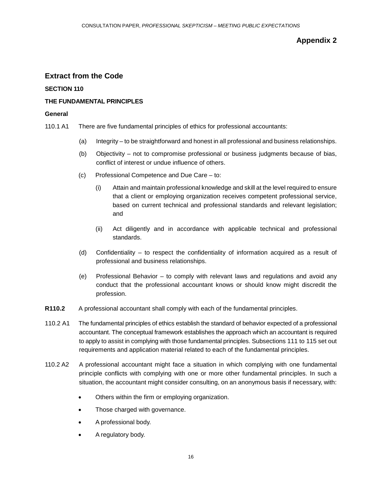# **Appendix 2**

# **Extract from the Code**

#### **SECTION 110**

#### **THE FUNDAMENTAL PRINCIPLES**

#### **General**

- 110.1 A1 There are five fundamental principles of ethics for professional accountants:
	- (a) Integrity to be straightforward and honest in all professional and business relationships.
	- (b) Objectivity not to compromise professional or business judgments because of bias, conflict of interest or undue influence of others.
	- (c) Professional Competence and Due Care to:
		- (i) Attain and maintain professional knowledge and skill at the level required to ensure that a client or employing organization receives competent professional service, based on current technical and professional standards and relevant legislation; and
		- (ii) Act diligently and in accordance with applicable technical and professional standards.
	- (d) Confidentiality to respect the confidentiality of information acquired as a result of professional and business relationships.
	- (e) Professional Behavior to comply with relevant laws and regulations and avoid any conduct that the professional accountant knows or should know might discredit the profession.
- **R110.2** A professional accountant shall comply with each of the fundamental principles.
- 110.2 A1 The fundamental principles of ethics establish the standard of behavior expected of a professional accountant. The conceptual framework establishes the approach which an accountant is required to apply to assist in complying with those fundamental principles. Subsections 111 to 115 set out requirements and application material related to each of the fundamental principles.
- 110.2 A2 A professional accountant might face a situation in which complying with one fundamental principle conflicts with complying with one or more other fundamental principles. In such a situation, the accountant might consider consulting, on an anonymous basis if necessary, with:
	- Others within the firm or employing organization.
	- Those charged with governance.
	- A professional body.
	- A regulatory body.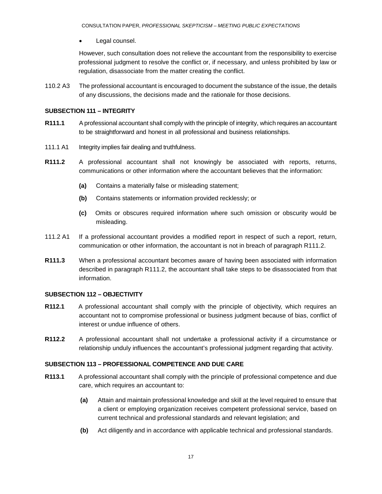Legal counsel.

However, such consultation does not relieve the accountant from the responsibility to exercise professional judgment to resolve the conflict or, if necessary, and unless prohibited by law or regulation, disassociate from the matter creating the conflict.

110.2 A3 The professional accountant is encouraged to document the substance of the issue, the details of any discussions, the decisions made and the rationale for those decisions.

#### **SUBSECTION 111 – INTEGRITY**

- **R111.1** A professional accountant shall comply with the principle of integrity, which requires an accountant to be straightforward and honest in all professional and business relationships.
- 111.1 A1 Integrity implies fair dealing and truthfulness.
- **R111.2** A professional accountant shall not knowingly be associated with reports, returns, communications or other information where the accountant believes that the information:
	- **(a)** Contains a materially false or misleading statement;
	- **(b)** Contains statements or information provided recklessly; or
	- **(c)** Omits or obscures required information where such omission or obscurity would be misleading.
- 111.2 A1 If a professional accountant provides a modified report in respect of such a report, return, communication or other information, the accountant is not in breach of paragraph R111.2.
- **R111.3** When a professional accountant becomes aware of having been associated with information described in paragraph R111.2, the accountant shall take steps to be disassociated from that information.

## **SUBSECTION 112 – OBJECTIVITY**

- **R112.1** A professional accountant shall comply with the principle of objectivity, which requires an accountant not to compromise professional or business judgment because of bias, conflict of interest or undue influence of others.
- **R112.2** A professional accountant shall not undertake a professional activity if a circumstance or relationship unduly influences the accountant's professional judgment regarding that activity.

#### **SUBSECTION 113 – PROFESSIONAL COMPETENCE AND DUE CARE**

- **R113.1** A professional accountant shall comply with the principle of professional competence and due care, which requires an accountant to:
	- **(a)** Attain and maintain professional knowledge and skill at the level required to ensure that a client or employing organization receives competent professional service, based on current technical and professional standards and relevant legislation; and
	- **(b)** Act diligently and in accordance with applicable technical and professional standards.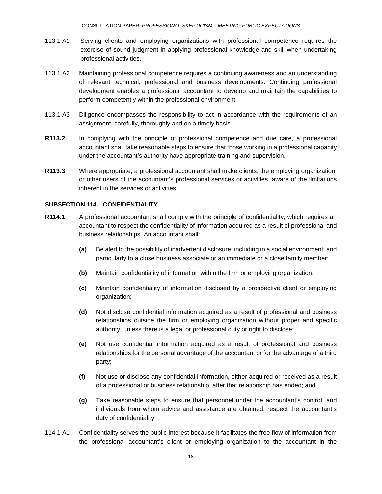CONSULTATION PAPER, *PROFESSIONAL SKEPTICISM – MEETING PUBLIC EXPECTATIONS*

- 113.1 A1 Serving clients and employing organizations with professional competence requires the exercise of sound judgment in applying professional knowledge and skill when undertaking professional activities.
- 113.1 A2 Maintaining professional competence requires a continuing awareness and an understanding of relevant technical, professional and business developments. Continuing professional development enables a professional accountant to develop and maintain the capabilities to perform competently within the professional environment.
- 113.1 A3 Diligence encompasses the responsibility to act in accordance with the requirements of an assignment, carefully, thoroughly and on a timely basis.
- **R113.2** In complying with the principle of professional competence and due care, a professional accountant shall take reasonable steps to ensure that those working in a professional capacity under the accountant's authority have appropriate training and supervision.
- **R113.3** Where appropriate, a professional accountant shall make clients, the employing organization, or other users of the accountant's professional services or activities, aware of the limitations inherent in the services or activities.

#### **SUBSECTION 114 – CONFIDENTIALITY**

- **R114.1** A professional accountant shall comply with the principle of confidentiality, which requires an accountant to respect the confidentiality of information acquired as a result of professional and business relationships. An accountant shall:
	- **(a)** Be alert to the possibility of inadvertent disclosure, including in a social environment, and particularly to a close business associate or an immediate or a close family member;
	- **(b)** Maintain confidentiality of information within the firm or employing organization;
	- **(c)** Maintain confidentiality of information disclosed by a prospective client or employing organization;
	- **(d)** Not disclose confidential information acquired as a result of professional and business relationships outside the firm or employing organization without proper and specific authority, unless there is a legal or professional duty or right to disclose;
	- **(e)** Not use confidential information acquired as a result of professional and business relationships for the personal advantage of the accountant or for the advantage of a third party;
	- **(f)** Not use or disclose any confidential information, either acquired or received as a result of a professional or business relationship, after that relationship has ended; and
	- **(g)** Take reasonable steps to ensure that personnel under the accountant's control, and individuals from whom advice and assistance are obtained, respect the accountant's duty of confidentiality.
- 114.1 A1 Confidentiality serves the public interest because it facilitates the free flow of information from the professional accountant's client or employing organization to the accountant in the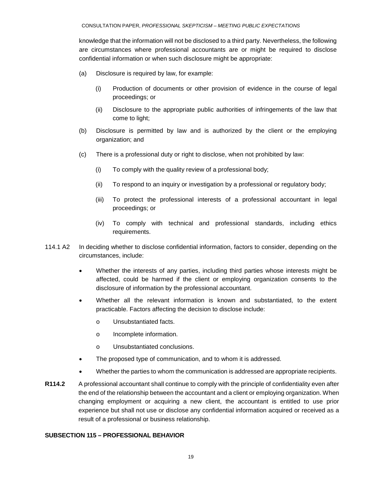knowledge that the information will not be disclosed to a third party. Nevertheless, the following are circumstances where professional accountants are or might be required to disclose confidential information or when such disclosure might be appropriate:

- (a) Disclosure is required by law, for example:
	- (i) Production of documents or other provision of evidence in the course of legal proceedings; or
	- (ii) Disclosure to the appropriate public authorities of infringements of the law that come to light;
- (b) Disclosure is permitted by law and is authorized by the client or the employing organization; and
- (c) There is a professional duty or right to disclose, when not prohibited by law:
	- (i) To comply with the quality review of a professional body;
	- (ii) To respond to an inquiry or investigation by a professional or regulatory body;
	- (iii) To protect the professional interests of a professional accountant in legal proceedings; or
	- (iv) To comply with technical and professional standards, including ethics requirements.
- 114.1 A2 In deciding whether to disclose confidential information, factors to consider, depending on the circumstances, include:
	- Whether the interests of any parties, including third parties whose interests might be affected, could be harmed if the client or employing organization consents to the disclosure of information by the professional accountant.
	- Whether all the relevant information is known and substantiated, to the extent practicable. Factors affecting the decision to disclose include:
		- o Unsubstantiated facts.
		- o Incomplete information.
		- o Unsubstantiated conclusions.
	- The proposed type of communication, and to whom it is addressed.
	- Whether the parties to whom the communication is addressed are appropriate recipients.
- **R114.2** A professional accountant shall continue to comply with the principle of confidentiality even after the end of the relationship between the accountant and a client or employing organization. When changing employment or acquiring a new client, the accountant is entitled to use prior experience but shall not use or disclose any confidential information acquired or received as a result of a professional or business relationship.

## **SUBSECTION 115 – PROFESSIONAL BEHAVIOR**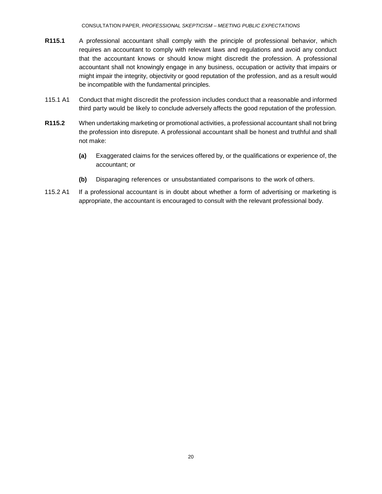- **R115.1** A professional accountant shall comply with the principle of professional behavior, which requires an accountant to comply with relevant laws and regulations and avoid any conduct that the accountant knows or should know might discredit the profession. A professional accountant shall not knowingly engage in any business, occupation or activity that impairs or might impair the integrity, objectivity or good reputation of the profession, and as a result would be incompatible with the fundamental principles.
- 115.1 A1 Conduct that might discredit the profession includes conduct that a reasonable and informed third party would be likely to conclude adversely affects the good reputation of the profession.
- **R115.2** When undertaking marketing or promotional activities, a professional accountant shall not bring the profession into disrepute. A professional accountant shall be honest and truthful and shall not make:
	- **(a)** Exaggerated claims for the services offered by, or the qualifications or experience of, the accountant; or
	- **(b)** Disparaging references or unsubstantiated comparisons to the work of others.
- 115.2 A1 If a professional accountant is in doubt about whether a form of advertising or marketing is appropriate, the accountant is encouraged to consult with the relevant professional body.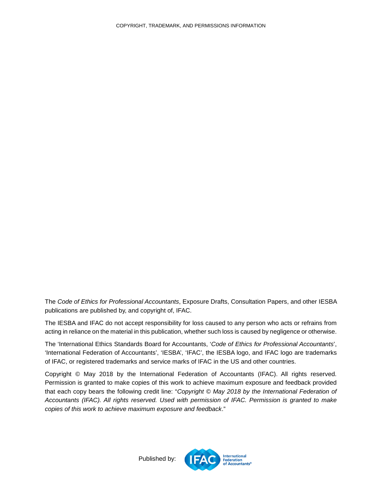<span id="page-20-0"></span>The *Code of Ethics for Professional Accountants*, Exposure Drafts, Consultation Papers, and other IESBA publications are published by, and copyright of, IFAC.

The IESBA and IFAC do not accept responsibility for loss caused to any person who acts or refrains from acting in reliance on the material in this publication, whether such loss is caused by negligence or otherwise.

The 'International Ethics Standards Board for Accountants, '*Code of Ethics for Professional Accountants*', 'International Federation of Accountants', 'IESBA', 'IFAC', the IESBA logo, and IFAC logo are trademarks of IFAC, or registered trademarks and service marks of IFAC in the US and other countries.

Copyright © May 2018 by the International Federation of Accountants (IFAC). All rights reserved. Permission is granted to make copies of this work to achieve maximum exposure and feedback provided that each copy bears the following credit line: "*Copyright © May 2018 by the International Federation of Accountants (IFAC). All rights reserved. Used with permission of IFAC. Permission is granted to make copies of this work to achieve maximum exposure and feedback*."